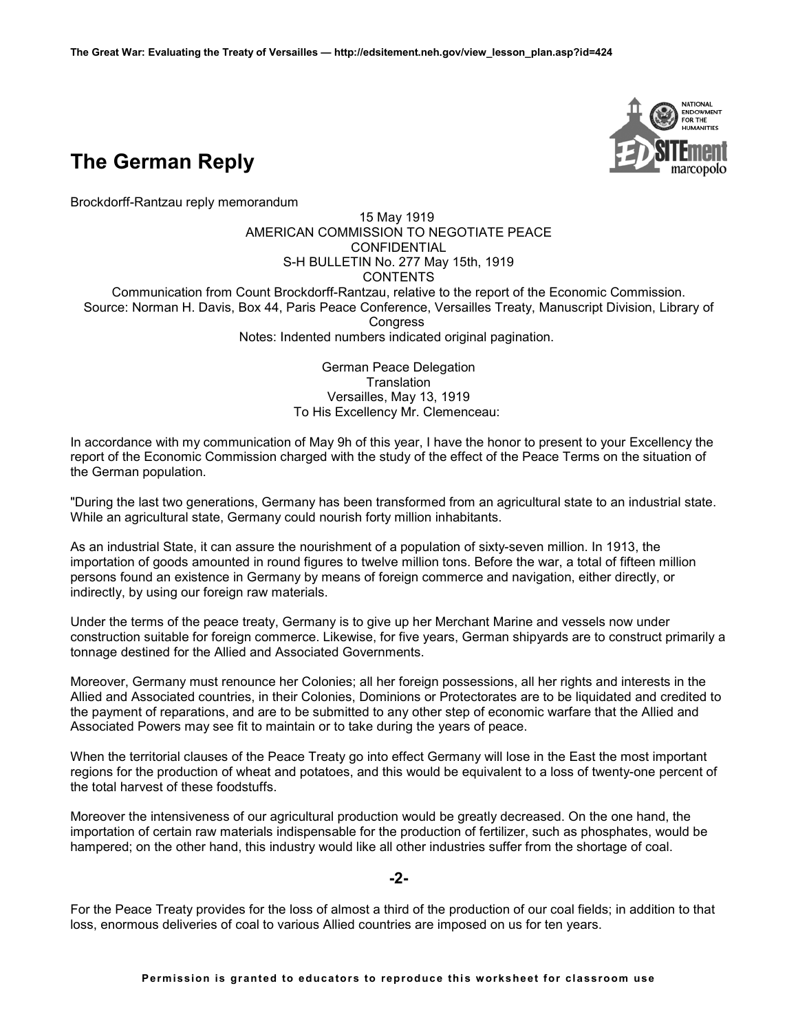

Brockdorff-Rantzau reply memorandum



15 May 1919 AMERICAN COMMISSION TO NEGOTIATE PEACE **CONFIDENTIAL** S-H BULLETIN No. 277 May 15th, 1919 **CONTENTS** Communication from Count Brockdorff-Rantzau, relative to the report of the Economic Commission. Source: Norman H. Davis, Box 44, Paris Peace Conference, Versailles Treaty, Manuscript Division, Library of **Congress** Notes: Indented numbers indicated original pagination.

> German Peace Delegation **Translation** Versailles, May 13, 1919 To His Excellency Mr. Clemenceau:

In accordance with my communication of May 9h of this year, I have the honor to present to your Excellency the report of the Economic Commission charged with the study of the effect of the Peace Terms on the situation of the German population.

"During the last two generations, Germany has been transformed from an agricultural state to an industrial state. While an agricultural state, Germany could nourish forty million inhabitants.

As an industrial State, it can assure the nourishment of a population of sixty-seven million. In 1913, the importation of goods amounted in round figures to twelve million tons. Before the war, a total of fifteen million persons found an existence in Germany by means of foreign commerce and navigation, either directly, or indirectly, by using our foreign raw materials.

Under the terms of the peace treaty, Germany is to give up her Merchant Marine and vessels now under construction suitable for foreign commerce. Likewise, for five years, German shipyards are to construct primarily a tonnage destined for the Allied and Associated Governments.

Moreover, Germany must renounce her Colonies; all her foreign possessions, all her rights and interests in the Allied and Associated countries, in their Colonies, Dominions or Protectorates are to be liquidated and credited to the payment of reparations, and are to be submitted to any other step of economic warfare that the Allied and Associated Powers may see fit to maintain or to take during the years of peace.

When the territorial clauses of the Peace Treaty go into effect Germany will lose in the East the most important regions for the production of wheat and potatoes, and this would be equivalent to a loss of twenty-one percent of the total harvest of these foodstuffs.

Moreover the intensiveness of our agricultural production would be greatly decreased. On the one hand, the importation of certain raw materials indispensable for the production of fertilizer, such as phosphates, would be hampered; on the other hand, this industry would like all other industries suffer from the shortage of coal.

## **-2-**

For the Peace Treaty provides for the loss of almost a third of the production of our coal fields; in addition to that loss, enormous deliveries of coal to various Allied countries are imposed on us for ten years.